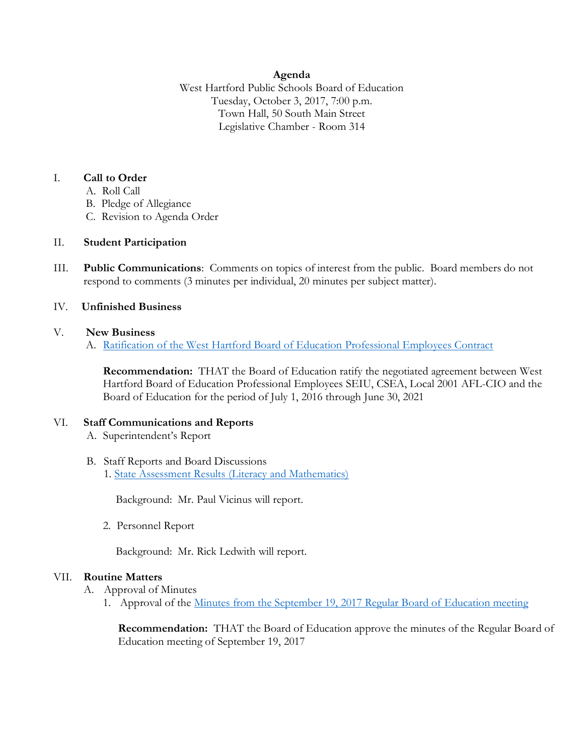### **Agenda**

West Hartford Public Schools Board of Education Tuesday, October 3, 2017, 7:00 p.m. Town Hall, 50 South Main Street Legislative Chamber - Room 314

### I. **Call to Order**

- A. Roll Call
- B. Pledge of Allegiance
- C. Revision to Agenda Order

# II. **Student Participation**

III. **Public Communications**: Comments on topics of interest from the public. Board members do not respond to comments (3 minutes per individual, 20 minutes per subject matter).

# IV. **Unfinished Business**

### V. **New Business**

A. [Ratification of the West Hartford Board of Education](http://www.whps.org/uploaded/BOE/BOE_Documents/20171003/Ratification_of_Professional_Employees_Contract2017.pdf?1506689675205) Professional Employees Contract

**Recommendation:** THAT the Board of Education ratify the negotiated agreement between West Hartford Board of Education Professional Employees SEIU, CSEA, Local 2001 AFL-CIO and the Board of Education for the period of July 1, 2016 through June 30, 2021

# VI. **Staff Communications and Reports**

- A. Superintendent's Report
- B. Staff Reports and Board Discussions 1. State Assessment Results [\(Literacy and Mathematics\)](http://www.whps.org/uploaded/BOE/BOE_Documents/20171003/2017_state_assessment_results.pdf?1506689623421)

Background: Mr. Paul Vicinus will report.

2. Personnel Report

Background: Mr. Rick Ledwith will report.

# VII. **Routine Matters**

- A. Approval of Minutes
	- 1. Approval of the [Minutes from the September 19, 2017 Regular Board of Education meeting](http://www.whps.org/uploaded/BOE/BOE_Documents/20171003/minutes_from_Sept._19,_2017.pdf?1506689604255)

**Recommendation:** THAT the Board of Education approve the minutes of the Regular Board of Education meeting of September 19, 2017